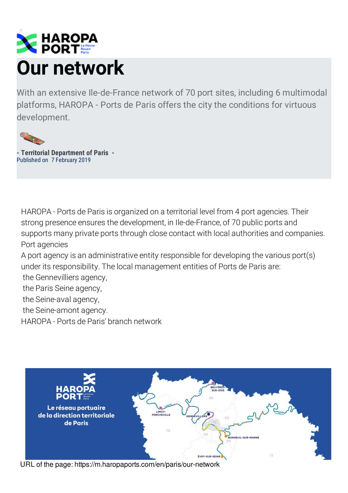

With an extensive Ile-de-France network of 70 port sites, including 6 multimodal platforms, HAROPA - Ports de Paris offers the city the conditions for virtuous development.



**- Territorial Department of Paris -** Published on 7 February 2019

HAROPA - Ports de Paris is organized on a territorial level from 4 port agencies. Their strong presence ensures the development, in Ile-de-France, of 70 public ports and supports many private ports through close contact with local authorities and companies. Port agencies

A port agency is an administrative entity responsible for developing the various port(s) under its responsibility. The local management entities of Ports de Paris are:

the Gennevilliers agency,

the Paris Seine agency,

the Seine-aval agency,

the Seine-amont agency.

HAROPA - Ports de Paris' branch network



URL of the page: https://m.haropaports.com/en/paris/our-network